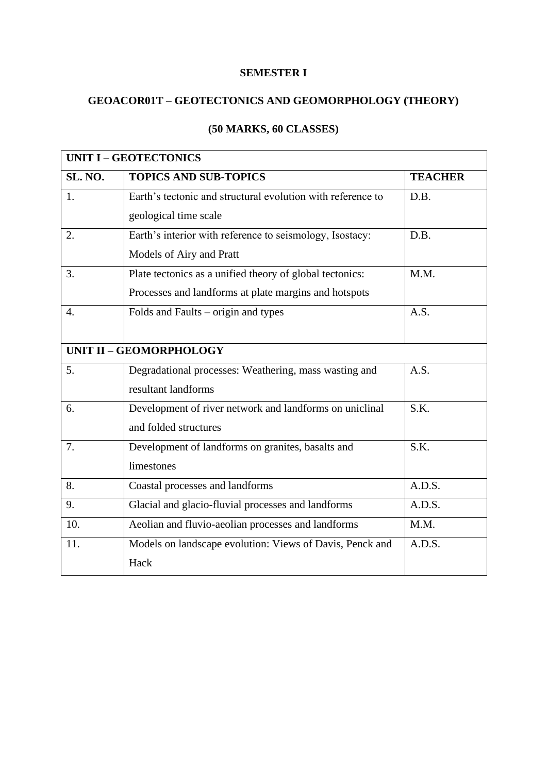#### **SEMESTER I**

### **GEOACOR01T – GEOTECTONICS AND GEOMORPHOLOGY (THEORY)**

| <b>UNIT I - GEOTECTONICS</b>   |                                                             |                |
|--------------------------------|-------------------------------------------------------------|----------------|
| <b>SL. NO.</b>                 | <b>TOPICS AND SUB-TOPICS</b>                                | <b>TEACHER</b> |
| 1.                             | Earth's tectonic and structural evolution with reference to | D.B.           |
|                                | geological time scale                                       |                |
| 2.                             | Earth's interior with reference to seismology, Isostacy:    | D.B.           |
|                                | Models of Airy and Pratt                                    |                |
| 3.                             | Plate tectonics as a unified theory of global tectonics:    | M.M.           |
|                                | Processes and landforms at plate margins and hotspots       |                |
| $\overline{4}$ .               | Folds and Faults – origin and types                         | A.S.           |
|                                |                                                             |                |
| <b>UNIT II - GEOMORPHOLOGY</b> |                                                             |                |
| 5.                             | Degradational processes: Weathering, mass wasting and       | A.S.           |
|                                | resultant landforms                                         |                |
| 6.                             | Development of river network and landforms on uniclinal     | S.K.           |
|                                | and folded structures                                       |                |
| 7.                             | Development of landforms on granites, basalts and           | S.K.           |
|                                | limestones                                                  |                |
| 8.                             | Coastal processes and landforms                             | A.D.S.         |
| 9.                             | Glacial and glacio-fluvial processes and landforms          | A.D.S.         |
| 10.                            | Aeolian and fluvio-aeolian processes and landforms          | M.M.           |
| 11.                            | Models on landscape evolution: Views of Davis, Penck and    | A.D.S.         |
|                                | Hack                                                        |                |

# **(50 MARKS, 60 CLASSES)**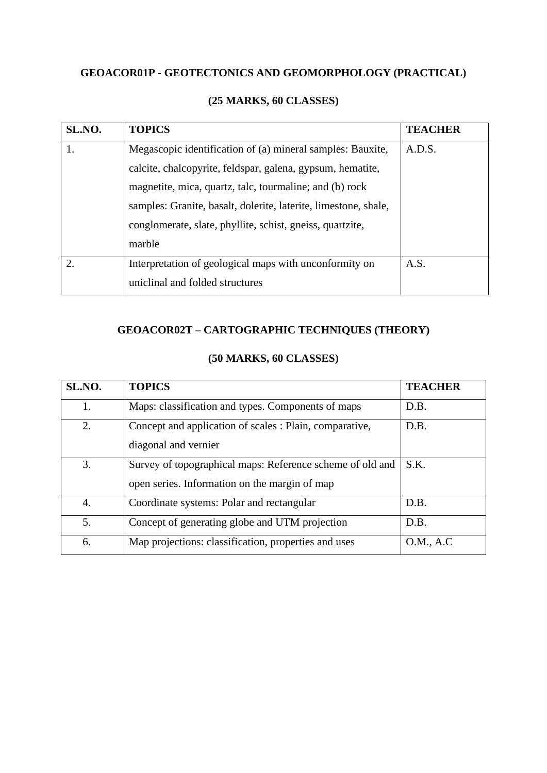### **GEOACOR01P - GEOTECTONICS AND GEOMORPHOLOGY (PRACTICAL)**

| SL.NO.           | <b>TOPICS</b>                                                   | <b>TEACHER</b> |
|------------------|-----------------------------------------------------------------|----------------|
|                  | Megascopic identification of (a) mineral samples: Bauxite,      | A.D.S.         |
|                  | calcite, chalcopyrite, feldspar, galena, gypsum, hematite,      |                |
|                  | magnetite, mica, quartz, talc, tourmaline; and (b) rock         |                |
|                  | samples: Granite, basalt, dolerite, laterite, limestone, shale, |                |
|                  | conglomerate, slate, phyllite, schist, gneiss, quartzite,       |                |
|                  | marble                                                          |                |
| $\overline{2}$ . | Interpretation of geological maps with unconformity on          | A.S.           |
|                  | uniclinal and folded structures                                 |                |

### **(25 MARKS, 60 CLASSES)**

### **GEOACOR02T – CARTOGRAPHIC TECHNIQUES (THEORY)**

| SL.NO. | <b>TOPICS</b>                                                                                              | <b>TEACHER</b> |
|--------|------------------------------------------------------------------------------------------------------------|----------------|
| 1.     | Maps: classification and types. Components of maps                                                         | D.B.           |
| 2.     | Concept and application of scales : Plain, comparative,<br>diagonal and vernier                            | D.B.           |
| 3.     | Survey of topographical maps: Reference scheme of old and<br>open series. Information on the margin of map | S.K.           |
| 4.     | Coordinate systems: Polar and rectangular                                                                  | D.B.           |
| 5.     | Concept of generating globe and UTM projection                                                             | D.B.           |
| 6.     | Map projections: classification, properties and uses                                                       | O.M., A.C      |

#### **(50 MARKS, 60 CLASSES)**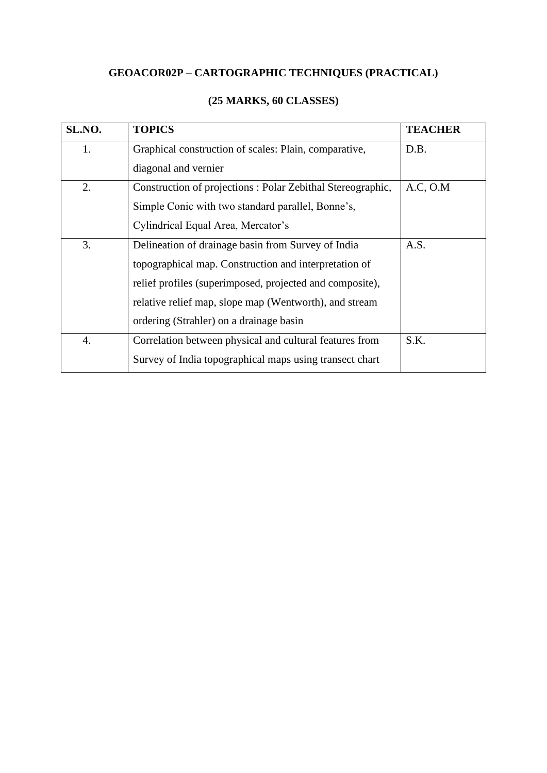# **GEOACOR02P – CARTOGRAPHIC TECHNIQUES (PRACTICAL)**

| SL.NO. | <b>TOPICS</b>                                              | <b>TEACHER</b> |
|--------|------------------------------------------------------------|----------------|
| 1.     | Graphical construction of scales: Plain, comparative,      | D.B.           |
|        | diagonal and vernier                                       |                |
| 2.     | Construction of projections: Polar Zebithal Stereographic, | A.C. O.M       |
|        | Simple Conic with two standard parallel, Bonne's,          |                |
|        | Cylindrical Equal Area, Mercator's                         |                |
| 3.     | Delineation of drainage basin from Survey of India         | A.S.           |
|        | topographical map. Construction and interpretation of      |                |
|        | relief profiles (superimposed, projected and composite),   |                |
|        | relative relief map, slope map (Wentworth), and stream     |                |
|        | ordering (Strahler) on a drainage basin                    |                |
| 4.     | Correlation between physical and cultural features from    | S.K.           |
|        | Survey of India topographical maps using transect chart    |                |

# **(25 MARKS, 60 CLASSES)**